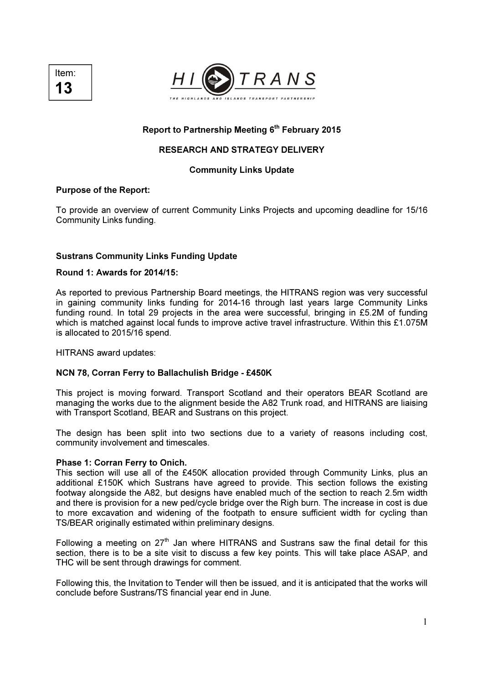



### Report to Partnership Meeting 6<sup>th</sup> February 2015

# RESEARCH AND STRATEGY DELIVERY

### Community Links Update

#### Purpose of the Report:

To provide an overview of current Community Links Projects and upcoming deadline for 15/16 Community Links funding.

#### Sustrans Community Links Funding Update

#### Round 1: Awards for 2014/15:

As reported to previous Partnership Board meetings, the HITRANS region was very successful in gaining community links funding for 2014-16 through last years large Community Links funding round. In total 29 projects in the area were successful, bringing in £5.2M of funding which is matched against local funds to improve active travel infrastructure. Within this £1.075M is allocated to 2015/16 spend.

HITRANS award updates:

### NCN 78, Corran Ferry to Ballachulish Bridge - £450K

This project is moving forward. Transport Scotland and their operators BEAR Scotland are managing the works due to the alignment beside the A82 Trunk road, and HITRANS are liaising with Transport Scotland, BEAR and Sustrans on this project.

The design has been split into two sections due to a variety of reasons including cost, community involvement and timescales.

#### Phase 1: Corran Ferry to Onich.

This section will use all of the £450K allocation provided through Community Links, plus an additional £150K which Sustrans have agreed to provide. This section follows the existing footway alongside the A82, but designs have enabled much of the section to reach 2.5m width and there is provision for a new ped/cycle bridge over the Righ burn. The increase in cost is due to more excavation and widening of the footpath to ensure sufficient width for cycling than TS/BEAR originally estimated within preliminary designs.

Following a meeting on  $27<sup>th</sup>$  Jan where HITRANS and Sustrans saw the final detail for this section, there is to be a site visit to discuss a few key points. This will take place ASAP, and THC will be sent through drawings for comment.

Following this, the Invitation to Tender will then be issued, and it is anticipated that the works will conclude before Sustrans/TS financial year end in June.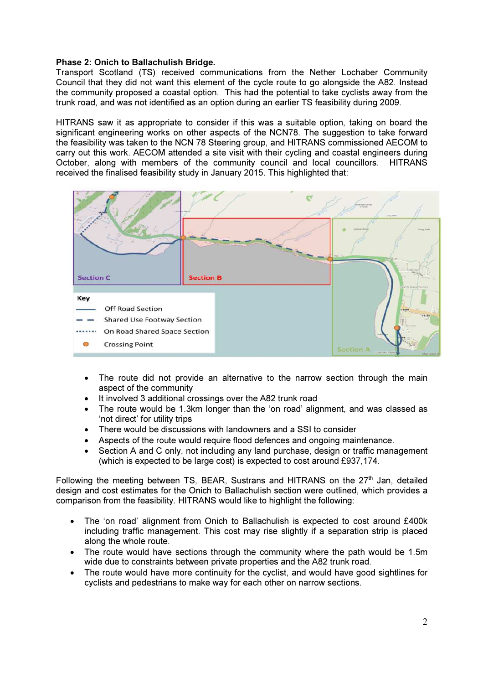## Phase 2: Onich to Ballachulish Bridge.

Transport Scotland (TS) received communications from the Nether Lochaber Community Council that they did not want this element of the cycle route to go alongside the A82. Instead the community proposed a coastal option. This had the potential to take cyclists away from the trunk road, and was not identified as an option during an earlier TS feasibility during 2009.

HITRANS saw it as appropriate to consider if this was a suitable option, taking on board the significant engineering works on other aspects of the NCN78. The suggestion to take forward the feasibility was taken to the NCN 78 Steering group, and HITRANS commissioned AECOM to carry out this work. AECOM attended a site visit with their cycling and coastal engineers during October, along with members of the community council and local councillors. HITRANS received the finalised feasibility study in January 2015. This highlighted that:



- The route did not provide an alternative to the narrow section through the main aspect of the community
- It involved 3 additional crossings over the A82 trunk road
- The route would be 1.3km longer than the 'on road' alignment, and was classed as 'not direct' for utility trips
- There would be discussions with landowners and a SSI to consider
- Aspects of the route would require flood defences and ongoing maintenance.
- Section A and C only, not including any land purchase, design or traffic management (which is expected to be large cost) is expected to cost around £937,174.

Following the meeting between TS, BEAR, Sustrans and HITRANS on the  $27<sup>th</sup>$  Jan, detailed design and cost estimates for the Onich to Ballachulish section were outlined, which provides a comparison from the feasibility. HITRANS would like to highlight the following:

- The 'on road' alignment from Onich to Ballachulish is expected to cost around £400k including traffic management. This cost may rise slightly if a separation strip is placed along the whole route.
- The route would have sections through the community where the path would be 1.5m wide due to constraints between private properties and the A82 trunk road.
- The route would have more continuity for the cyclist, and would have good sightlines for cyclists and pedestrians to make way for each other on narrow sections.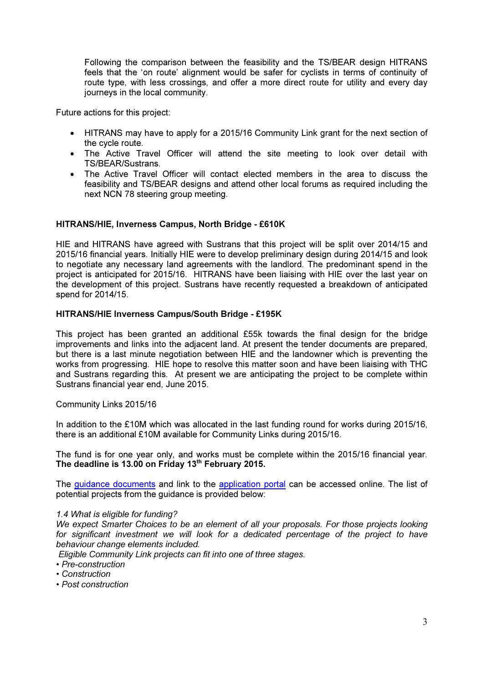Following the comparison between the feasibility and the TS/BEAR design HITRANS feels that the 'on route' alignment would be safer for cyclists in terms of continuity of route type, with less crossings, and offer a more direct route for utility and every day journeys in the local community.

Future actions for this project:

- HITRANS may have to apply for a 2015/16 Community Link grant for the next section of the cycle route.
- The Active Travel Officer will attend the site meeting to look over detail with TS/BEAR/Sustrans.
- The Active Travel Officer will contact elected members in the area to discuss the feasibility and TS/BEAR designs and attend other local forums as required including the next NCN 78 steering group meeting.

# HITRANS/HIE, Inverness Campus, North Bridge - £610K

HIE and HITRANS have agreed with Sustrans that this project will be split over 2014/15 and 2015/16 financial years. Initially HIE were to develop preliminary design during 2014/15 and look to negotiate any necessary land agreements with the landlord. The predominant spend in the project is anticipated for 2015/16. HITRANS have been liaising with HIE over the last year on the development of this project. Sustrans have recently requested a breakdown of anticipated spend for 2014/15.

### HITRANS/HIE Inverness Campus/South Bridge - £195K

This project has been granted an additional £55k towards the final design for the bridge improvements and links into the adjacent land. At present the tender documents are prepared, but there is a last minute negotiation between HIE and the landowner which is preventing the works from progressing. HIE hope to resolve this matter soon and have been liaising with THC and Sustrans regarding this. At present we are anticipating the project to be complete within Sustrans financial year end, June 2015.

### Community Links 2015/16

In addition to the £10M which was allocated in the last funding round for works during 2015/16, there is an additional £10M available for Community Links during 2015/16.

The fund is for one year only, and works must be complete within the 2015/16 financial year. The deadline is 13.00 on Friday  $13<sup>th</sup>$  February 2015.

The guidance documents and link to the application portal can be accessed online. The list of potential projects from the guidance is provided below:

### *1.4 What is eligible for funding?*

*We expect Smarter Choices to be an element of all your proposals. For those projects looking*  for significant investment we will look for a dedicated percentage of the project to have *behaviour change elements included.* 

 *Eligible Community Link projects can fit into one of three stages.* 

- *Pre-construction*
- *Construction*
- *Post construction*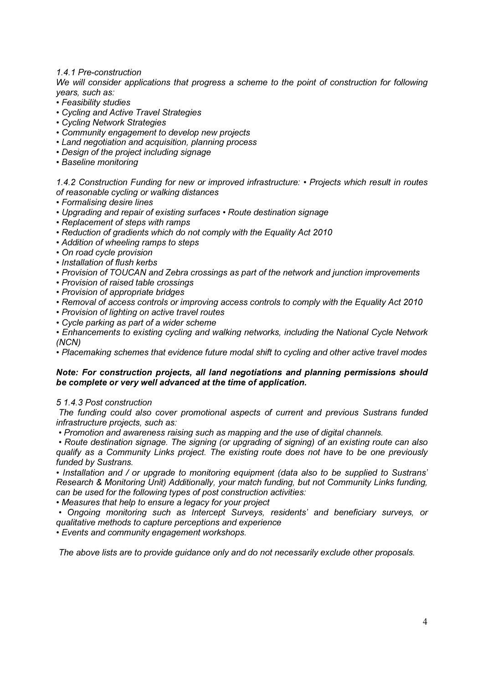*1.4.1 Pre-construction* 

*We will consider applications that progress a scheme to the point of construction for following years, such as:* 

- *Feasibility studies*
- *Cycling and Active Travel Strategies*
- *Cycling Network Strategies*
- *Community engagement to develop new projects*
- *Land negotiation and acquisition, planning process*
- *Design of the project including signage*
- *Baseline monitoring*

*1.4.2 Construction Funding for new or improved infrastructure: • Projects which result in routes of reasonable cycling or walking distances* 

- *Formalising desire lines*
- *Upgrading and repair of existing surfaces Route destination signage*
- *Replacement of steps with ramps*
- *Reduction of gradients which do not comply with the Equality Act 2010*
- *Addition of wheeling ramps to steps*
- *On road cycle provision*
- *Installation of flush kerbs*
- *Provision of TOUCAN and Zebra crossings as part of the network and junction improvements*
- *Provision of raised table crossings*
- *Provision of appropriate bridges*
- *Removal of access controls or improving access controls to comply with the Equality Act 2010*
- *Provision of lighting on active travel routes*
- *Cycle parking as part of a wider scheme*
- *Enhancements to existing cycling and walking networks, including the National Cycle Network (NCN)*

*• Placemaking schemes that evidence future modal shift to cycling and other active travel modes* 

### Note: For construction projects, all land negotiations and planning permissions should be complete or very well advanced at the time of application.

*5 1.4.3 Post construction* 

 *The funding could also cover promotional aspects of current and previous Sustrans funded infrastructure projects, such as:* 

 *• Promotion and awareness raising such as mapping and the use of digital channels.* 

 *• Route destination signage. The signing (or upgrading of signing) of an existing route can also qualify as a Community Links project. The existing route does not have to be one previously funded by Sustrans.* 

*• Installation and / or upgrade to monitoring equipment (data also to be supplied to Sustrans' Research & Monitoring Unit) Additionally, your match funding, but not Community Links funding, can be used for the following types of post construction activities:* 

*• Measures that help to ensure a legacy for your project* 

 *• Ongoing monitoring such as Intercept Surveys, residents' and beneficiary surveys, or qualitative methods to capture perceptions and experience* 

*• Events and community engagement workshops.* 

 *The above lists are to provide guidance only and do not necessarily exclude other proposals.*